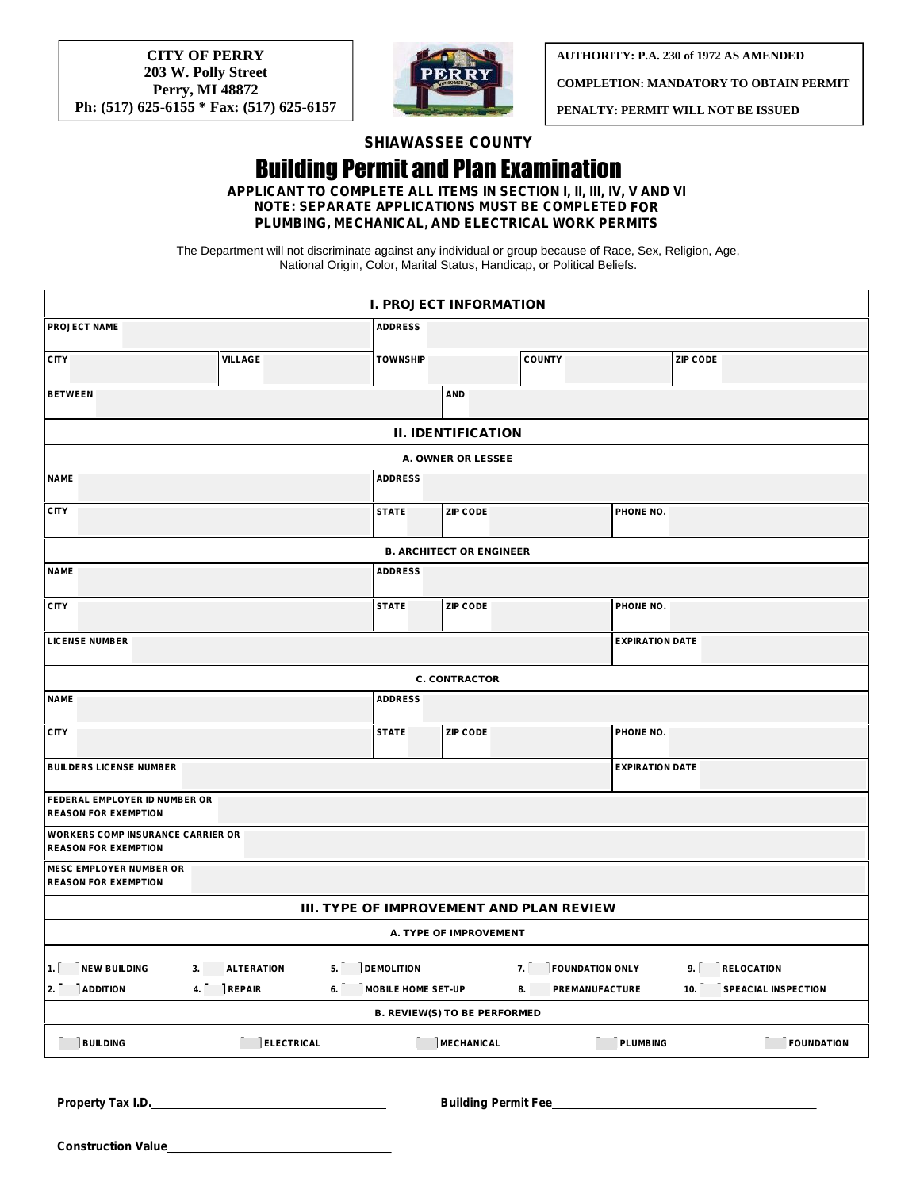**CITY OF PERRY 203 W. Polly Street Perry, MI 48872 Ph: (517) 625-6155 \* Fax: (517) 625-6157**



**AUTHORITY: P.A. 230 of 1972 AS AMENDED**

**COMPLETION: MANDATORY TO OBTAIN PERMIT**

**PENALTY: PERMIT WILL NOT BE ISSUED**

## **SHIAWASSEE COUNTY**

## Building Permit and Plan Examination **APPLICANT TO COMPLETE ALL ITEMS IN SECTION I, II, III, IV, V AND VI**

**NOTE: SEPARATE APPLICATIONS MUST BE COMPLETED FOR PLUMBING, MECHANICAL, AND ELECTRICAL WORK PERMITS**

The Department will not discriminate against any individual or group because of Race, Sex, Religion, Age, National Origin, Color, Marital Status, Handicap, or Political Beliefs.

|                                                                         |                         |                                 | I. PROJECT INFORMATION          |                                          |                        |                                   |  |  |  |  |  |
|-------------------------------------------------------------------------|-------------------------|---------------------------------|---------------------------------|------------------------------------------|------------------------|-----------------------------------|--|--|--|--|--|
| <b>PROJECT NAME</b>                                                     |                         | <b>ADDRESS</b>                  |                                 |                                          |                        |                                   |  |  |  |  |  |
| <b>CITY</b>                                                             | VILLAGE                 | <b>TOWNSHIP</b>                 |                                 | <b>COUNTY</b>                            |                        | <b>ZIP CODE</b>                   |  |  |  |  |  |
| <b>BETWEEN</b>                                                          |                         |                                 | <b>AND</b>                      |                                          |                        |                                   |  |  |  |  |  |
|                                                                         |                         |                                 | II. IDENTIFICATION              |                                          |                        |                                   |  |  |  |  |  |
|                                                                         |                         |                                 | A. OWNER OR LESSEE              |                                          |                        |                                   |  |  |  |  |  |
| <b>NAME</b>                                                             |                         | <b>ADDRESS</b>                  |                                 |                                          |                        |                                   |  |  |  |  |  |
| <b>CITY</b>                                                             |                         | <b>STATE</b>                    | <b>ZIP CODE</b>                 |                                          | PHONE NO.              |                                   |  |  |  |  |  |
|                                                                         |                         |                                 | <b>B. ARCHITECT OR ENGINEER</b> |                                          |                        |                                   |  |  |  |  |  |
| <b>NAME</b>                                                             |                         | <b>ADDRESS</b>                  |                                 |                                          |                        |                                   |  |  |  |  |  |
| <b>CITY</b>                                                             |                         | <b>STATE</b>                    | ZIP CODE                        |                                          | PHONE NO.              |                                   |  |  |  |  |  |
| <b>LICENSE NUMBER</b>                                                   |                         |                                 |                                 |                                          | <b>EXPIRATION DATE</b> |                                   |  |  |  |  |  |
|                                                                         |                         |                                 | C. CONTRACTOR                   |                                          |                        |                                   |  |  |  |  |  |
| <b>NAME</b>                                                             |                         | <b>ADDRESS</b>                  |                                 |                                          |                        |                                   |  |  |  |  |  |
| <b>CITY</b>                                                             |                         | <b>STATE</b>                    | <b>ZIP CODE</b>                 |                                          | PHONE NO.              |                                   |  |  |  |  |  |
| <b>BUILDERS LICENSE NUMBER</b>                                          |                         |                                 |                                 |                                          | <b>EXPIRATION DATE</b> |                                   |  |  |  |  |  |
| FEDERAL EMPLOYER ID NUMBER OR<br><b>REASON FOR EXEMPTION</b>            |                         |                                 |                                 |                                          |                        |                                   |  |  |  |  |  |
| <b>WORKERS COMP INSURANCE CARRIER OR</b><br><b>REASON FOR EXEMPTION</b> |                         |                                 |                                 |                                          |                        |                                   |  |  |  |  |  |
| <b>MESC EMPLOYER NUMBER OR</b><br><b>REASON FOR EXEMPTION</b>           |                         |                                 |                                 |                                          |                        |                                   |  |  |  |  |  |
|                                                                         |                         |                                 |                                 | III. TYPE OF IMPROVEMENT AND PLAN REVIEW |                        |                                   |  |  |  |  |  |
|                                                                         |                         |                                 | A. TYPE OF IMPROVEMENT          |                                          |                        |                                   |  |  |  |  |  |
| 1.<br><b>NEW BUILDING</b>                                               | <b>ALTERATION</b><br>3. | <b>DEMOLITION</b><br>5.         |                                 | <b>FOUNDATION ONLY</b><br>7.             |                        | 9.<br><b>RELOCATION</b>           |  |  |  |  |  |
| 2.<br><b>ADDITION</b>                                                   | <b>REPAIR</b><br>4.     | 6.<br><b>MOBILE HOME SET-UP</b> |                                 | PREMANUFACTURE<br>8.                     |                        | <b>SPEACIAL INSPECTION</b><br>10. |  |  |  |  |  |
|                                                                         |                         |                                 | B. REVIEW(S) TO BE PERFORMED    |                                          |                        |                                   |  |  |  |  |  |
| <b>BUILDING</b>                                                         | <b>ELECTRICAL</b>       |                                 | <b>MECHANICAL</b>               |                                          | <b>PLUMBING</b>        | <b>FOUNDATION</b>                 |  |  |  |  |  |

**Property Tax I.D. Building Permit Fee** \_\_\_\_\_\_\_\_\_\_\_\_\_\_\_\_\_\_\_\_\_\_\_\_\_\_\_\_\_\_\_\_\_\_\_\_\_

**Construction Value**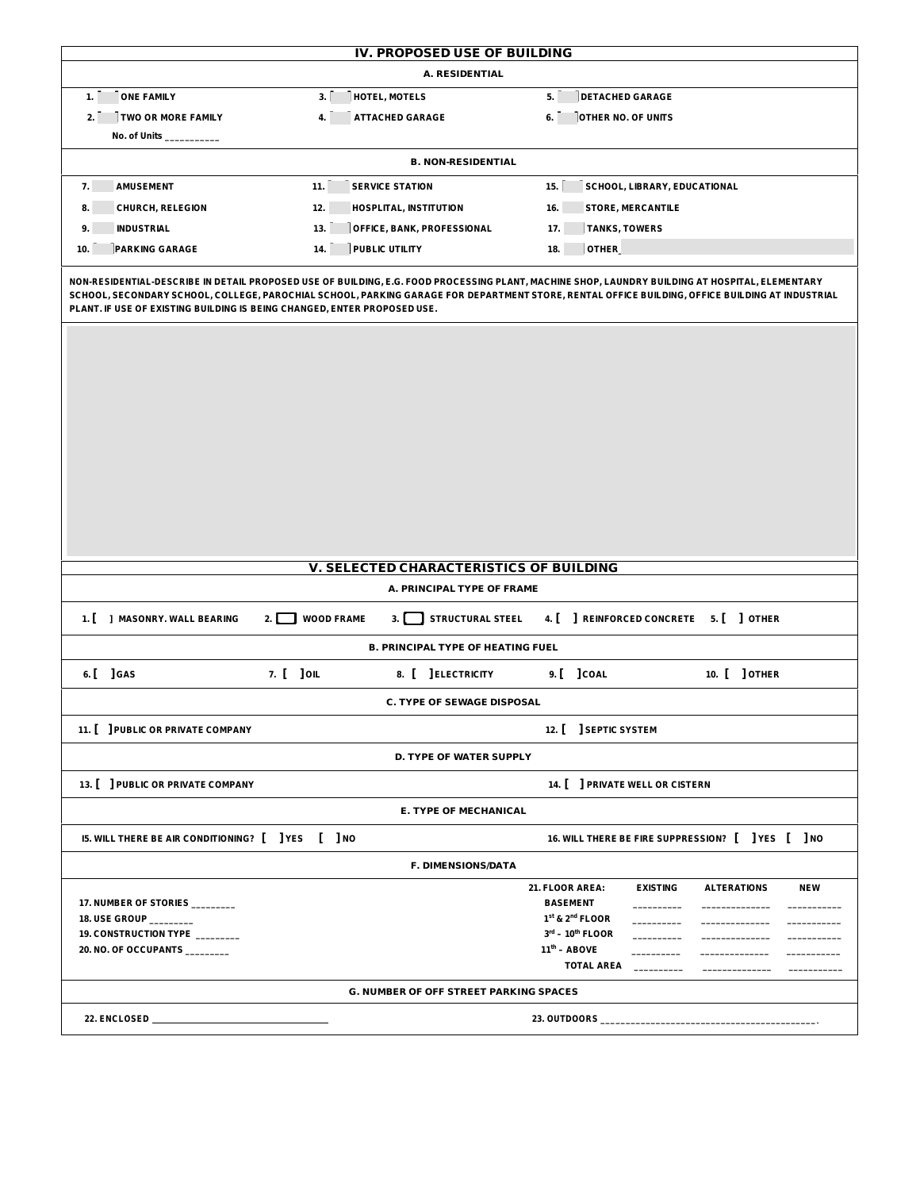|                                                                                                                  | IV. PROPOSED USE OF BUILDING                                                                                                       |                                                                                                                                                                                                     |
|------------------------------------------------------------------------------------------------------------------|------------------------------------------------------------------------------------------------------------------------------------|-----------------------------------------------------------------------------------------------------------------------------------------------------------------------------------------------------|
|                                                                                                                  | A. RESIDENTIAL                                                                                                                     |                                                                                                                                                                                                     |
| <b>ONE FAMILY</b><br>1.                                                                                          | 3.<br>HOTEL, MOTELS                                                                                                                | 5.<br><b>DETACHED GARAGE</b>                                                                                                                                                                        |
| TWO OR MORE FAMILY<br>2.1                                                                                        | <b>ATTACHED GARAGE</b><br>4.                                                                                                       | OTHER NO. OF UNITS<br>6.                                                                                                                                                                            |
| No. of Units __                                                                                                  |                                                                                                                                    |                                                                                                                                                                                                     |
|                                                                                                                  | <b>B. NON-RESIDENTIAL</b>                                                                                                          |                                                                                                                                                                                                     |
| <b>AMUSEMENT</b><br>7.                                                                                           | 11.<br><b>SERVICE STATION</b>                                                                                                      | 15.<br>SCHOOL, LIBRARY, EDUCATIONAL                                                                                                                                                                 |
| <b>CHURCH, RELEGION</b><br>8.                                                                                    | 12.<br><b>HOSPLITAL, INSTITUTION</b>                                                                                               | 16.<br>STORE, MERCANTILE                                                                                                                                                                            |
| <b>INDUSTRIAL</b><br>9.                                                                                          | OFFICE, BANK, PROFESSIONAL<br>13.                                                                                                  | <b>TANKS, TOWERS</b><br>17.                                                                                                                                                                         |
| 10.<br><b>PARKING GARAGE</b>                                                                                     | 14.<br>PUBLIC UTILITY                                                                                                              | OTHER<br>18.                                                                                                                                                                                        |
|                                                                                                                  |                                                                                                                                    |                                                                                                                                                                                                     |
|                                                                                                                  |                                                                                                                                    |                                                                                                                                                                                                     |
| 1. [ ] MASONRY. WALL BEARING                                                                                     | V. SELECTED CHARACTERISTICS OF BUILDING<br>A. PRINCIPAL TYPE OF FRAME<br>STRUCTURAL STEEL<br>$\mathbf 1$ WOOD FRAME<br>2. L<br>3.1 | 4. [ ] REINFORCED CONCRETE 5. [ ] OTHER                                                                                                                                                             |
|                                                                                                                  | B. PRINCIPAL TYPE OF HEATING FUEL                                                                                                  |                                                                                                                                                                                                     |
| 6. [ ] GAS                                                                                                       | 7. [ ] OIL<br>8. [ ] ELECTRICITY                                                                                                   | 10. [ ] OTHER<br>9. [ ] COAL                                                                                                                                                                        |
|                                                                                                                  | C. TYPE OF SEWAGE DISPOSAL                                                                                                         |                                                                                                                                                                                                     |
|                                                                                                                  |                                                                                                                                    | 12. [ ] SEPTIC SYSTEM                                                                                                                                                                               |
|                                                                                                                  | D. TYPE OF WATER SUPPLY                                                                                                            |                                                                                                                                                                                                     |
| 11.   PUBLIC OR PRIVATE COMPANY                                                                                  |                                                                                                                                    |                                                                                                                                                                                                     |
| 13.   PUBLIC OR PRIVATE COMPANY                                                                                  |                                                                                                                                    | 14. [ ] PRIVATE WELL OR CISTERN                                                                                                                                                                     |
|                                                                                                                  | E. TYPE OF MECHANICAL                                                                                                              |                                                                                                                                                                                                     |
| 15. WILL THERE BE AIR CONDITIONING? [ ] YES [ ] NO                                                               |                                                                                                                                    | 16. WILL THERE BE FIRE SUPPRESSION? [ ] YES [ ] NO                                                                                                                                                  |
| 17. NUMBER OF STORIES ________<br>18. USE GROUP _______<br>19. CONSTRUCTION TYPE<br>20. NO. OF OCCUPANTS _______ | F. DIMENSIONS/DATA                                                                                                                 | <b>EXISTING</b><br>21. FLOOR AREA:<br><b>ALTERATIONS</b><br><b>NEW</b><br><b>BASEMENT</b><br>1 <sup>st</sup> & 2 <sup>nd</sup> FLOOR<br>$3^{\text{rd}} - 10^{\text{th}}$ FLOOR<br>$11^{th}$ – ABOVE |
|                                                                                                                  |                                                                                                                                    | <b>TOTAL AREA</b>                                                                                                                                                                                   |
|                                                                                                                  | G. NUMBER OF OFF STREET PARKING SPACES                                                                                             |                                                                                                                                                                                                     |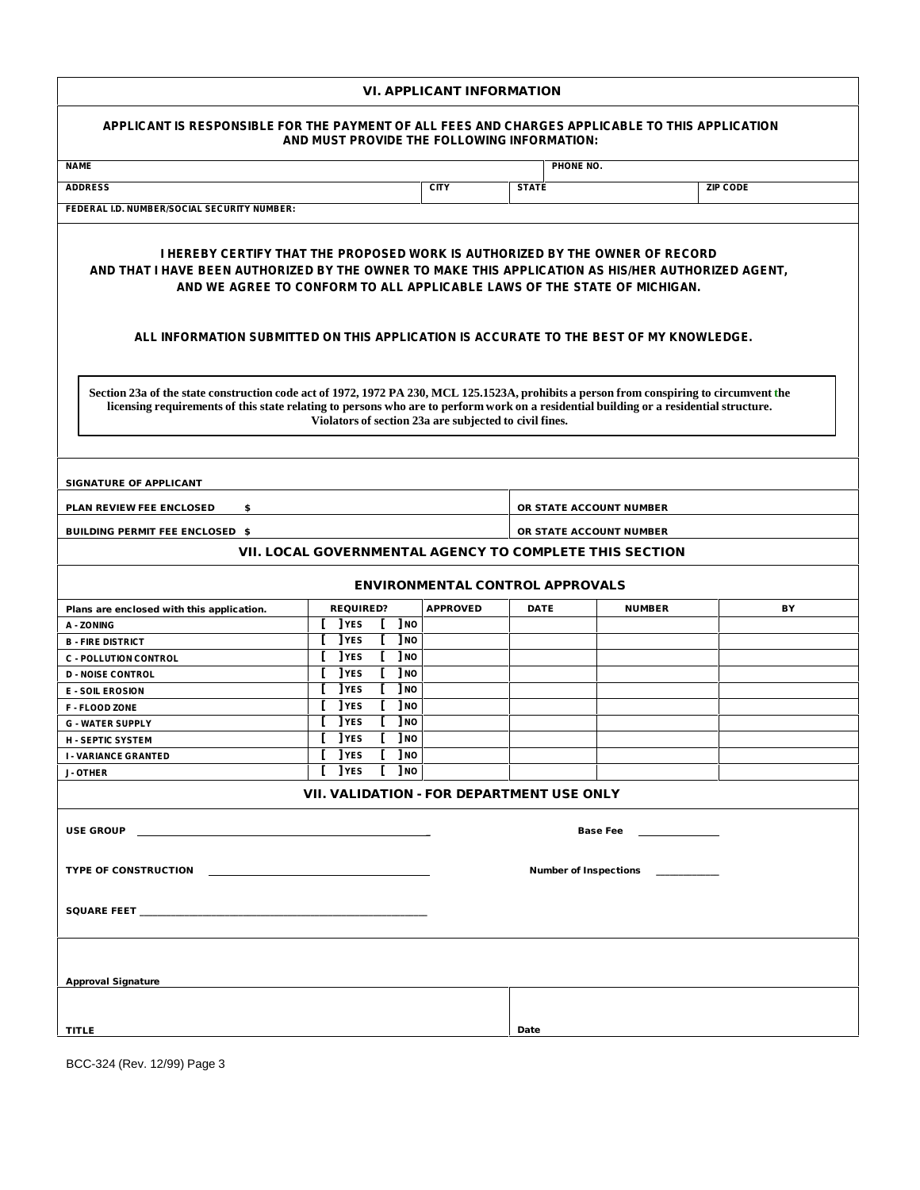| VI. APPLICANT INFORMATION                                                                                                                                                                                                                                                                                                                                                                                                              |  |             |                                 |                                  |                 |          |                                 |                         |    |  |  |  |  |  |
|----------------------------------------------------------------------------------------------------------------------------------------------------------------------------------------------------------------------------------------------------------------------------------------------------------------------------------------------------------------------------------------------------------------------------------------|--|-------------|---------------------------------|----------------------------------|-----------------|----------|---------------------------------|-------------------------|----|--|--|--|--|--|
| APPLICANT IS RESPONSIBLE FOR THE PAYMENT OF ALL FEES AND CHARGES APPLICABLE TO THIS APPLICATION<br>AND MUST PROVIDE THE FOLLOWING INFORMATION:                                                                                                                                                                                                                                                                                         |  |             |                                 |                                  |                 |          |                                 |                         |    |  |  |  |  |  |
| <b>NAME</b><br>PHONE NO.                                                                                                                                                                                                                                                                                                                                                                                                               |  |             |                                 |                                  |                 |          |                                 |                         |    |  |  |  |  |  |
| <b>ADDRESS</b>                                                                                                                                                                                                                                                                                                                                                                                                                         |  |             | <b>STATE</b><br><b>ZIP CODE</b> |                                  |                 |          |                                 |                         |    |  |  |  |  |  |
| FEDERAL I.D. NUMBER/SOCIAL SECURITY NUMBER:                                                                                                                                                                                                                                                                                                                                                                                            |  |             |                                 |                                  |                 |          |                                 |                         |    |  |  |  |  |  |
|                                                                                                                                                                                                                                                                                                                                                                                                                                        |  |             |                                 |                                  |                 |          |                                 |                         |    |  |  |  |  |  |
| <u>I HEREBY CERTIFY THAT THE PROPOSED WORK IS AUTHORIZED BY THE OWNER OF RECORD</u><br>AND THAT I HAVE BEEN AUTHORIZED BY THE OWNER TO MAKE THIS APPLICATION AS HIS/HER AUTHORIZED AGENT.<br>AND WE AGREE TO CONFORM TO ALL APPLICABLE LAWS OF THE STATE OF MICHIGAN.                                                                                                                                                                  |  |             |                                 |                                  |                 |          |                                 |                         |    |  |  |  |  |  |
| ALL INFORMATION SUBMITTED ON THIS APPLICATION IS ACCURATE TO THE BEST OF MY KNOWLEDGE.<br>Section 23a of the state construction code act of 1972, 1972 PA 230, MCL 125.1523A, prohibits a person from conspiring to circumvent the<br>licensing requirements of this state relating to persons who are to perform work on a residential building or a residential structure.<br>Violators of section 23a are subjected to civil fines. |  |             |                                 |                                  |                 |          |                                 |                         |    |  |  |  |  |  |
| SIGNATURE OF APPLICANT                                                                                                                                                                                                                                                                                                                                                                                                                 |  |             |                                 |                                  |                 |          |                                 |                         |    |  |  |  |  |  |
| PLAN REVIEW FEE ENCLOSED<br>\$                                                                                                                                                                                                                                                                                                                                                                                                         |  |             |                                 |                                  |                 |          |                                 | OR STATE ACCOUNT NUMBER |    |  |  |  |  |  |
| BUILDING PERMIT FEE ENCLOSED \$                                                                                                                                                                                                                                                                                                                                                                                                        |  |             |                                 |                                  |                 |          |                                 | OR STATE ACCOUNT NUMBER |    |  |  |  |  |  |
|                                                                                                                                                                                                                                                                                                                                                                                                                                        |  |             |                                 |                                  |                 |          |                                 |                         |    |  |  |  |  |  |
| VII. LOCAL GOVERNMENTAL AGENCY TO COMPLETE THIS SECTION                                                                                                                                                                                                                                                                                                                                                                                |  |             |                                 |                                  |                 |          |                                 |                         |    |  |  |  |  |  |
|                                                                                                                                                                                                                                                                                                                                                                                                                                        |  |             |                                 |                                  |                 |          | ENVIRONMENTAL CONTROL APPROVALS |                         |    |  |  |  |  |  |
|                                                                                                                                                                                                                                                                                                                                                                                                                                        |  | REQUIRED?   |                                 |                                  |                 | APPROVED | DATE                            | <b>NUMBER</b>           | BY |  |  |  |  |  |
| Plans are enclosed with this application.<br>A - ZONING                                                                                                                                                                                                                                                                                                                                                                                |  | <b>TYES</b> |                                 |                                  | 1 <sub>NO</sub> |          |                                 |                         |    |  |  |  |  |  |
| <b>B - FIRE DISTRICT</b>                                                                                                                                                                                                                                                                                                                                                                                                               |  | ] YES       |                                 |                                  | $]$ NO          |          |                                 |                         |    |  |  |  |  |  |
| <b>C - POLLUTION CONTROL</b>                                                                                                                                                                                                                                                                                                                                                                                                           |  | ] YES       |                                 |                                  | ] NO            |          |                                 |                         |    |  |  |  |  |  |
| <b>D - NOISE CONTROL</b>                                                                                                                                                                                                                                                                                                                                                                                                               |  | <b>TYES</b> |                                 |                                  | 1 <sub>NO</sub> |          |                                 |                         |    |  |  |  |  |  |
| <b>E - SOIL EROSION</b>                                                                                                                                                                                                                                                                                                                                                                                                                |  | ] YES       |                                 |                                  | <b>J</b> NO     |          |                                 |                         |    |  |  |  |  |  |
| <b>F-FLOOD ZONE</b>                                                                                                                                                                                                                                                                                                                                                                                                                    |  | <b>TYES</b> |                                 |                                  | ] NO            |          |                                 |                         |    |  |  |  |  |  |
| <b>G - WATER SUPPLY</b>                                                                                                                                                                                                                                                                                                                                                                                                                |  | ] YES       |                                 |                                  | <b>J</b> NO     |          |                                 |                         |    |  |  |  |  |  |
| <b>H - SEPTIC SYSTEM</b>                                                                                                                                                                                                                                                                                                                                                                                                               |  | <b>TYES</b> |                                 |                                  | $]$ NO          |          |                                 |                         |    |  |  |  |  |  |
| <b>I - VARIANCE GRANTED</b>                                                                                                                                                                                                                                                                                                                                                                                                            |  | TYES [ ]NO  |                                 |                                  |                 |          |                                 |                         |    |  |  |  |  |  |
| <b>J-OTHER</b>                                                                                                                                                                                                                                                                                                                                                                                                                         |  | <b>TYES</b> |                                 |                                  |                 |          |                                 |                         |    |  |  |  |  |  |
| <b>JNO</b><br>VII. VALIDATION - FOR DEPARTMENT USE ONLY                                                                                                                                                                                                                                                                                                                                                                                |  |             |                                 |                                  |                 |          |                                 |                         |    |  |  |  |  |  |
| USE GROUP <b>SECURE 2006</b>                                                                                                                                                                                                                                                                                                                                                                                                           |  |             |                                 |                                  |                 |          | Base Fee <u>Incommunity</u>     |                         |    |  |  |  |  |  |
| TYPE OF CONSTRUCTION THE STATE OF THE STATE OF STATE OF STATE OF STATE OF STATE OF STATE OF STATE OF STATE OF STATE OF STATE OF STATE OF STATE OF STATE OF STATE OF STATE OF STATE OF STATE OF STATE OF STATE OF STATE OF STAT                                                                                                                                                                                                         |  |             |                                 | Number of Inspections __________ |                 |          |                                 |                         |    |  |  |  |  |  |
|                                                                                                                                                                                                                                                                                                                                                                                                                                        |  |             |                                 |                                  |                 |          |                                 |                         |    |  |  |  |  |  |
| Approval Signature                                                                                                                                                                                                                                                                                                                                                                                                                     |  |             |                                 |                                  |                 |          |                                 |                         |    |  |  |  |  |  |
|                                                                                                                                                                                                                                                                                                                                                                                                                                        |  |             |                                 |                                  |                 |          |                                 |                         |    |  |  |  |  |  |
| TITLE                                                                                                                                                                                                                                                                                                                                                                                                                                  |  |             |                                 |                                  |                 |          | Date                            |                         |    |  |  |  |  |  |

BCC-324 (Rev. 12/99) Page 3